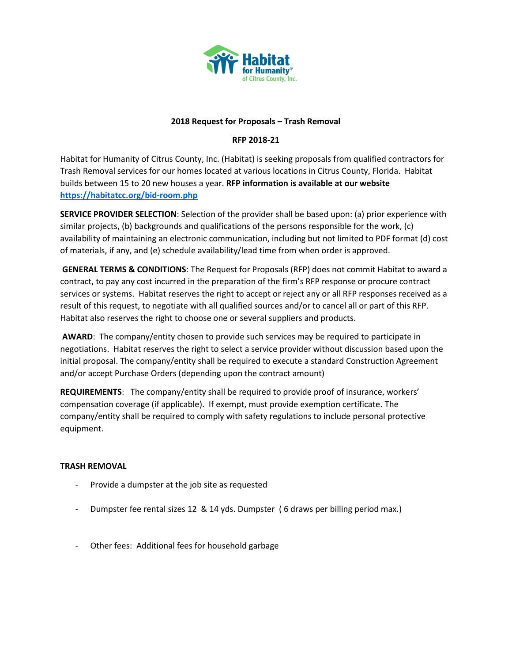

### **2018 Request for Proposals – Trash Removal**

# **RFP 2018-21**

Habitat for Humanity of Citrus County, Inc. (Habitat) is seeking proposals from qualified contractors for Trash Removal services for our homes located at various locations in Citrus County, Florida. Habitat builds between 15 to 20 new houses a year. **RFP information is available at our website <https://habitatcc.org/bid-room.php>**

**SERVICE PROVIDER SELECTION**: Selection of the provider shall be based upon: (a) prior experience with similar projects, (b) backgrounds and qualifications of the persons responsible for the work, (c) availability of maintaining an electronic communication, including but not limited to PDF format (d) cost of materials, if any, and (e) schedule availability/lead time from when order is approved.

**GENERAL TERMS & CONDITIONS**: The Request for Proposals (RFP) does not commit Habitat to award a contract, to pay any cost incurred in the preparation of the firm's RFP response or procure contract services or systems. Habitat reserves the right to accept or reject any or all RFP responses received as a result of this request, to negotiate with all qualified sources and/or to cancel all or part of this RFP. Habitat also reserves the right to choose one or several suppliers and products.

**AWARD**: The company/entity chosen to provide such services may be required to participate in negotiations. Habitat reserves the right to select a service provider without discussion based upon the initial proposal. The company/entity shall be required to execute a standard Construction Agreement and/or accept Purchase Orders (depending upon the contract amount)

**REQUIREMENTS**: The company/entity shall be required to provide proof of insurance, workers' compensation coverage (if applicable). If exempt, must provide exemption certificate. The company/entity shall be required to comply with safety regulations to include personal protective equipment.

## **TRASH REMOVAL**

- Provide a dumpster at the job site as requested
- Dumpster fee rental sizes 12 & 14 yds. Dumpster ( 6 draws per billing period max.)
- Other fees: Additional fees for household garbage